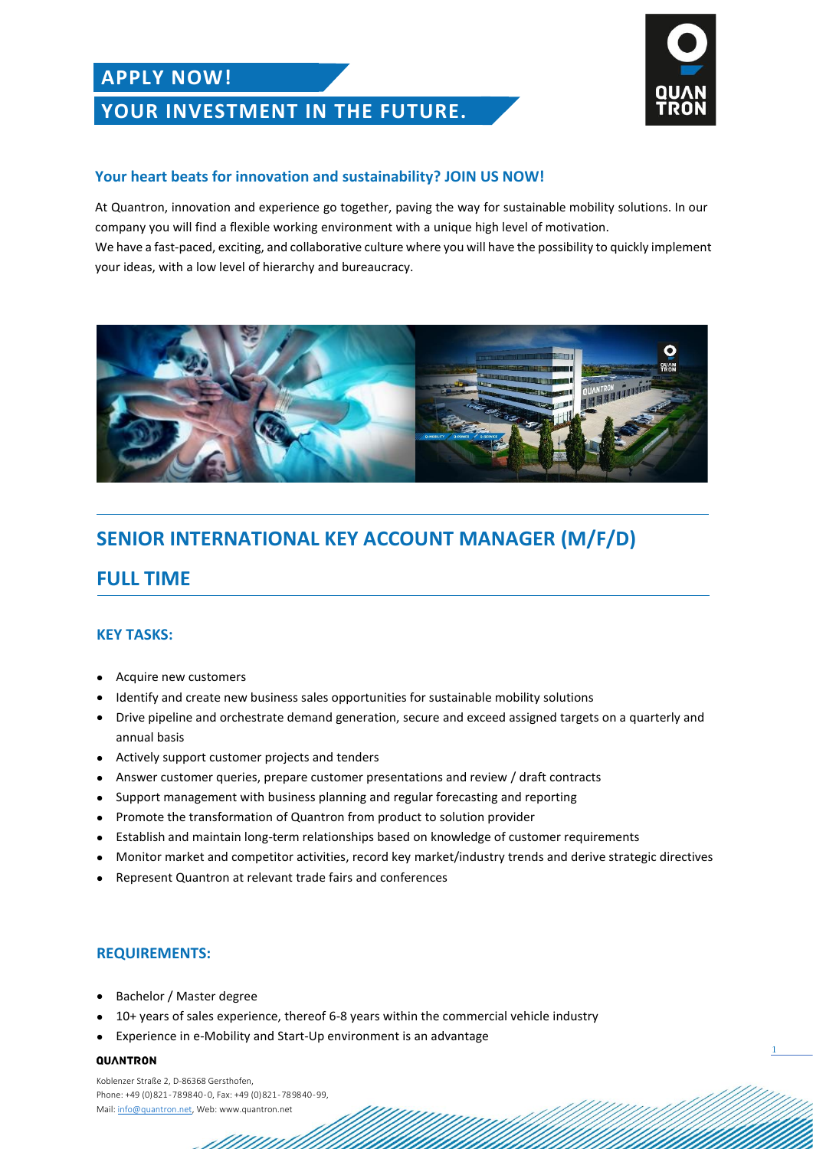## **APPLY NOW!**

## **YOUR INVESTMENT IN THE FUTURE.**



1

### **Your heart beats for innovation and sustainability? JOIN US NOW!**

At Quantron, innovation and experience go together, paving the way for sustainable mobility solutions. In our company you will find a flexible working environment with a unique high level of motivation. We have a fast-paced, exciting, and collaborative culture where you will have the possibility to quickly implement your ideas, with a low level of hierarchy and bureaucracy.



# **SENIOR INTERNATIONAL KEY ACCOUNT MANAGER (M/F/D)**

## **FULL TIME**

### **KEY TASKS:**

- Acquire new customers
- Identify and create new business sales opportunities for sustainable mobility solutions
- Drive pipeline and orchestrate demand generation, secure and exceed assigned targets on a quarterly and annual basis
- Actively support customer projects and tenders
- Answer customer queries, prepare customer presentations and review / draft contracts
- Support management with business planning and regular forecasting and reporting
- Promote the transformation of Quantron from product to solution provider
- Establish and maintain long-term relationships based on knowledge of customer requirements
- Monitor market and competitor activities, record key market/industry trends and derive strategic directives
- Represent Quantron at relevant trade fairs and conferences

### **REQUIREMENTS:**

- Bachelor / Master degree
- 10+ years of sales experience, thereof 6-8 years within the commercial vehicle industry
- Experience in e-Mobility and Start-Up environment is an advantage

#### QUANTRON

Koblenzer Straße 2, D-86368 Gersthofen, Phone: +49 (0) 821 - 78 98 40 - 0, Fax: +49 (0) 821 - 78 98 40 - 99, Mail[: info@quantron.net,](mailto:info@quantron.net) Web: www.quantron.net